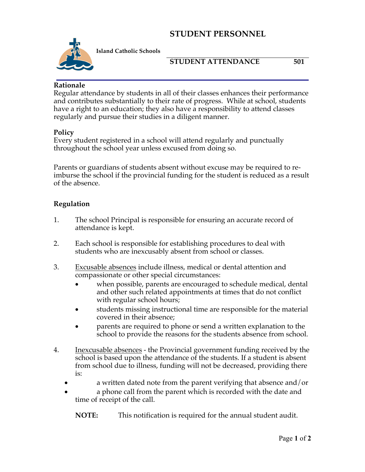# **STUDENT PERSONNEL**



**Island Catholic Schools** 

## **STUDENT ATTENDANCE** 501

#### **Rationale**

Regular attendance by students in all of their classes enhances their performance and contributes substantially to their rate of progress. While at school, students have a right to an education; they also have a responsibility to attend classes regularly and pursue their studies in a diligent manner.

#### **Policy**

Every student registered in a school will attend regularly and punctually throughout the school year unless excused from doing so.

Parents or guardians of students absent without excuse may be required to reimburse the school if the provincial funding for the student is reduced as a result of the absence.

## **Regulation**

- 1. The school Principal is responsible for ensuring an accurate record of attendance is kept.
- 2. Each school is responsible for establishing procedures to deal with students who are inexcusably absent from school or classes.
- 3. Excusable absences include illness, medical or dental attention and compassionate or other special circumstances:
	- when possible, parents are encouraged to schedule medical, dental and other such related appointments at times that do not conflict with regular school hours;
	- students missing instructional time are responsible for the material covered in their absence;
	- parents are required to phone or send a written explanation to the school to provide the reasons for the students absence from school.
- 4. Inexcusable absences the Provincial government funding received by the school is based upon the attendance of the students. If a student is absent from school due to illness, funding will not be decreased, providing there is:
	- a written dated note from the parent verifying that absence and/or
	- a phone call from the parent which is recorded with the date and time of receipt of the call.

**NOTE:** This notification is required for the annual student audit.